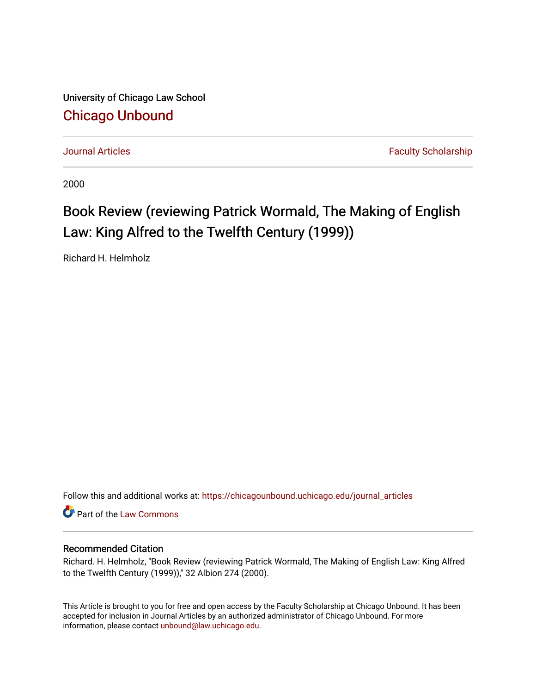University of Chicago Law School [Chicago Unbound](https://chicagounbound.uchicago.edu/)

[Journal Articles](https://chicagounbound.uchicago.edu/journal_articles) **Faculty Scholarship Journal Articles** 

2000

## Book Review (reviewing Patrick Wormald, The Making of English Law: King Alfred to the Twelfth Century (1999))

Richard H. Helmholz

Follow this and additional works at: [https://chicagounbound.uchicago.edu/journal\\_articles](https://chicagounbound.uchicago.edu/journal_articles?utm_source=chicagounbound.uchicago.edu%2Fjournal_articles%2F2842&utm_medium=PDF&utm_campaign=PDFCoverPages) 

Part of the [Law Commons](http://network.bepress.com/hgg/discipline/578?utm_source=chicagounbound.uchicago.edu%2Fjournal_articles%2F2842&utm_medium=PDF&utm_campaign=PDFCoverPages)

## Recommended Citation

Richard. H. Helmholz, "Book Review (reviewing Patrick Wormald, The Making of English Law: King Alfred to the Twelfth Century (1999))," 32 Albion 274 (2000).

This Article is brought to you for free and open access by the Faculty Scholarship at Chicago Unbound. It has been accepted for inclusion in Journal Articles by an authorized administrator of Chicago Unbound. For more information, please contact [unbound@law.uchicago.edu](mailto:unbound@law.uchicago.edu).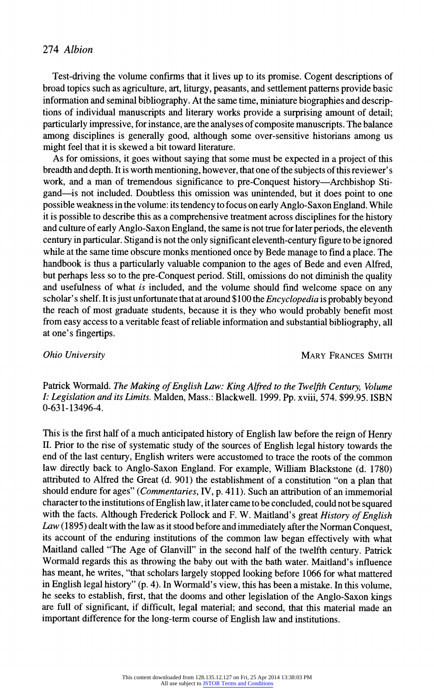## **274 Albion**

**Test-driving the volume confirms that it lives up to its promise. Cogent descriptions of broad topics such as agriculture, art, liturgy, peasants, and settlement patterns provide basic information and seminal bibliography. At the same time, miniature biographies and descriptions of individual manuscripts and literary works provide a surprising amount of detail; particularly impressive, for instance, are the analyses of composite manuscripts. The balance among disciplines is generally good, although some over-sensitive historians among us might feel that it is skewed a bit toward literature.** 

**As for omissions, it goes without saying that some must be expected in a project of this breadth and depth. It is worth mentioning, however, that one of the subjects of this reviewer's work, and a man of tremendous significance to pre-Conquest history-Archbishop Stigand-is not included. Doubtless this omission was unintended, but it does point to one possible weakness in the volume: its tendency to focus on early Anglo-Saxon England. While it is possible to describe this as a comprehensive treatment across disciplines for the history and culture of early Anglo-Saxon England, the same is not true for later periods, the eleventh century in particular. Stigand is not the only significant eleventh-century figure to be ignored while at the same time obscure monks mentioned once by Bede manage to find a place. The handbook is thus a particularly valuable companion to the ages of Bede and even Alfred, but perhaps less so to the pre-Conquest period. Still, omissions do not diminish the quality and usefulness of what is included, and the volume should find welcome space on any scholar's shelf. It is just unfortunate that at around \$100 the Encyclopedia is probably beyond the reach of most graduate students, because it is they who would probably benefit most from easy access to a veritable feast of reliable information and substantial bibliography, all at one's fingertips.** 

**Ohio University MARY FRANCES SMITH** 

**Patrick Wormald. The Making of English Law: King Alfred to the Twelfth Century, Volume I: Legislation and its Limits. Malden, Mass.: Blackwell. 1999. Pp. xviii, 574. \$99.95. ISBN 0-631-13496-4.** 

**This is the first half of a much anticipated history of English law before the reign of Henry II. Prior to the rise of systematic study of the sources of English legal history towards the end of the last century, English writers were accustomed to trace the roots of the common law directly back to Anglo-Saxon England. For example, William Blackstone (d. 1780) attributed to Alfred the Great (d. 901) the establishment of a constitution "on a plan that should endure for ages" (Commentaries, IV, p. 41 1). Such an attribution of an immemorial character to the institutions of English law, it later came to be concluded, could not be squared with the facts. Although Frederick Pollock and F. W. Maitland's great History of English Law (1895) dealt with the law as it stood before and immediately afterthe Norman Conquest, its account of the enduring institutions of the common law began effectively with what Maitland called "The Age of Glanvill" in the second half of the twelfth century. Patrick Wormald regards this as throwing the baby out with the bath water. Maitland's influence has meant, he writes, "that scholars largely stopped looking before 1066 for what mattered in English legal history" (p. 4). In Wormald's view, this has been a mistake. In this volume, he seeks to establish, first, that the dooms and other legislation of the Anglo-Saxon kings are full of significant, if difficult, legal material; and second, that this material made an important difference for the long-term course of English law and institutions.**